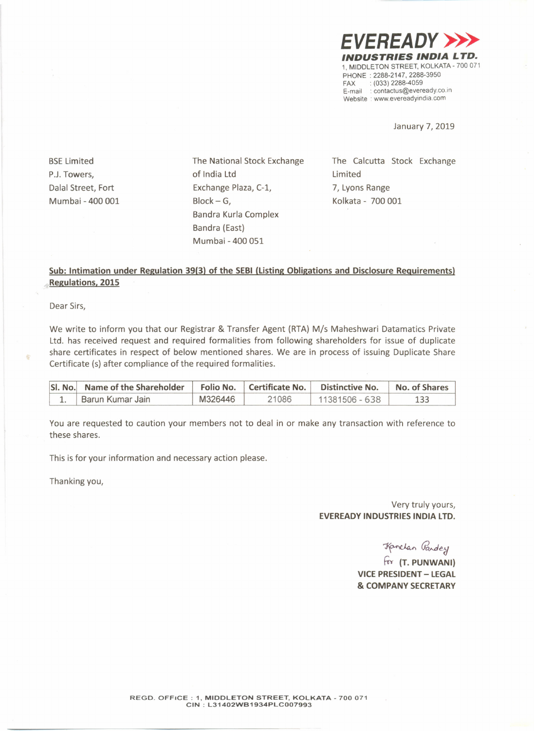

January 7, 2019

**BSE Limited** P.J.Towers, Dalal Street, Fort Mumbai - 400 001 The National Stock Exchange of India Ltd Exchange Plaza, C-1,  $Block - G$ , Bandra Kurla Complex Bandra (East) Mumbai - 400 051

The Calcutta Stock Exchange Limited 7, Lyons Range Kolkata - 700 001

## **Sub: Intimation under Regulation 39(3) of the SEBI (Listing Obligations and Disclosure Requirements) Regulations, 2015**

Dear Sirs,

We write to inform you that our Registrar & Transfer Agent (RTA) *Mis* Maheshwari Datamatics Private Ltd. has received request and required formalities from following shareholders for issue of duplicate share certificates in respect of below mentioned shares. We are in process of issuing Duplicate Share Certificate (s) after compliance of the required formalities.

| SI, No. Name of the Shareholder |         |       | Folio No.   Certificate No.   Distinctive No. | No. of Shares |
|---------------------------------|---------|-------|-----------------------------------------------|---------------|
| Barun Kumar Jain                | M326446 | 21086 | 11381506 - 638                                |               |

You are requested to caution your members not to deal in or make any transaction with reference to these shares.

This is for your information and necessary action please.

Thanking you,

Very truly yours, **EVEREADY INDUSTRIES INDIA LTD.**

 $\pi$ anclan *Gandey* 

fly **(T. PUNWANI) VICE PRESIDENT- LEGAL & COMPANY SECRETARY**